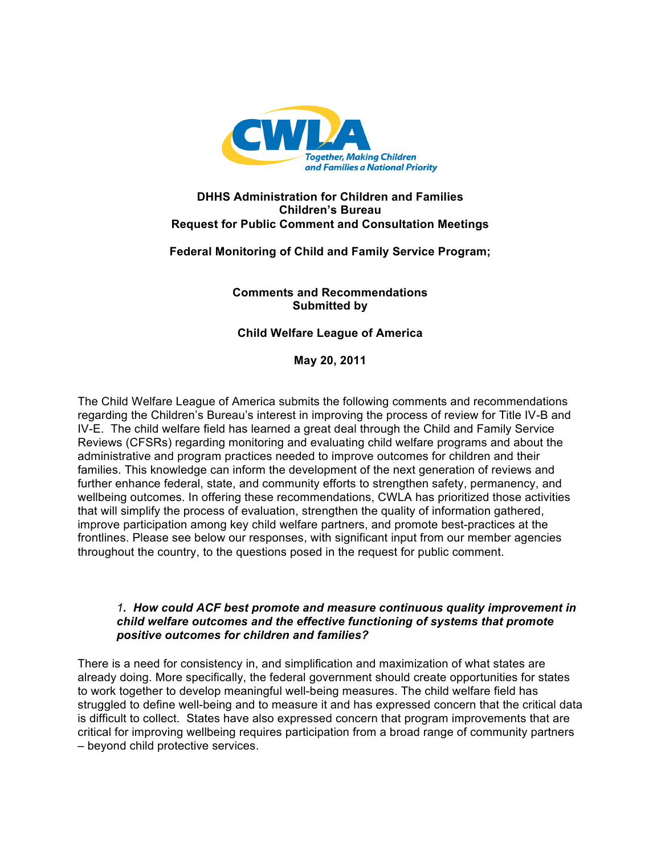

### **DHHS Administration for Children and Families Children's Bureau Request for Public Comment and Consultation Meetings**

# **Federal Monitoring of Child and Family Service Program;**

# **Comments and Recommendations Submitted by**

# **Child Welfare League of America**

**May 20, 2011** 

The Child Welfare League of America submits the following comments and recommendations regarding the Children's Bureau's interest in improving the process of review for Title IV-B and IV-E. The child welfare field has learned a great deal through the Child and Family Service Reviews (CFSRs) regarding monitoring and evaluating child welfare programs and about the administrative and program practices needed to improve outcomes for children and their families. This knowledge can inform the development of the next generation of reviews and further enhance federal, state, and community efforts to strengthen safety, permanency, and wellbeing outcomes. In offering these recommendations, CWLA has prioritized those activities that will simplify the process of evaluation, strengthen the quality of information gathered, improve participation among key child welfare partners, and promote best-practices at the frontlines. Please see below our responses, with significant input from our member agencies throughout the country, to the questions posed in the request for public comment.

#### *1. How could ACF best promote and measure continuous quality improvement in child welfare outcomes and the effective functioning of systems that promote positive outcomes for children and families?*

There is a need for consistency in, and simplification and maximization of what states are already doing. More specifically, the federal government should create opportunities for states to work together to develop meaningful well-being measures. The child welfare field has struggled to define well-being and to measure it and has expressed concern that the critical data is difficult to collect. States have also expressed concern that program improvements that are critical for improving wellbeing requires participation from a broad range of community partners – beyond child protective services.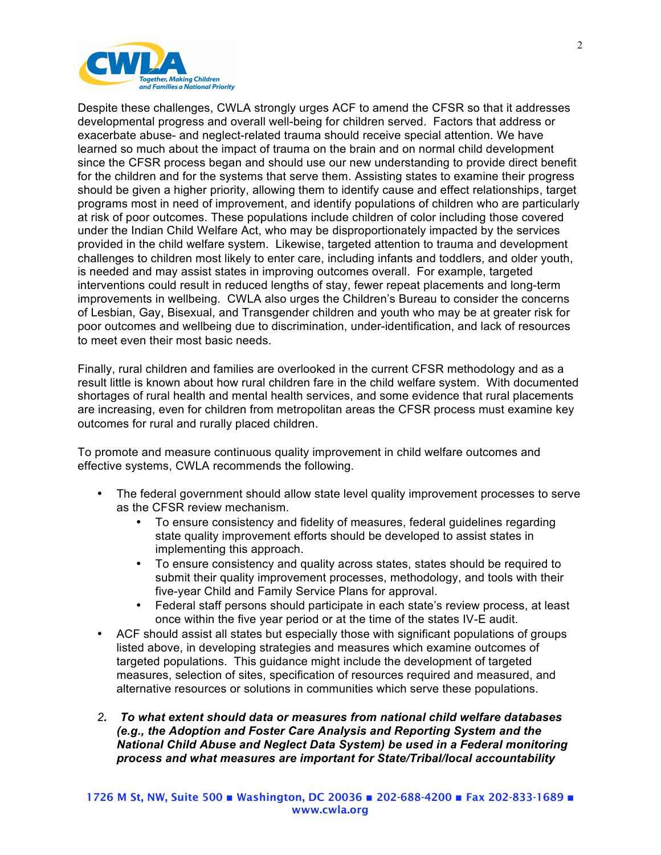

Despite these challenges, CWLA strongly urges ACF to amend the CFSR so that it addresses developmental progress and overall well-being for children served. Factors that address or exacerbate abuse- and neglect-related trauma should receive special attention. We have learned so much about the impact of trauma on the brain and on normal child development since the CFSR process began and should use our new understanding to provide direct benefit for the children and for the systems that serve them. Assisting states to examine their progress should be given a higher priority, allowing them to identify cause and effect relationships, target programs most in need of improvement, and identify populations of children who are particularly at risk of poor outcomes. These populations include children of color including those covered under the Indian Child Welfare Act, who may be disproportionately impacted by the services provided in the child welfare system. Likewise, targeted attention to trauma and development challenges to children most likely to enter care, including infants and toddlers, and older youth, is needed and may assist states in improving outcomes overall. For example, targeted interventions could result in reduced lengths of stay, fewer repeat placements and long-term improvements in wellbeing. CWLA also urges the Children's Bureau to consider the concerns of Lesbian, Gay, Bisexual, and Transgender children and youth who may be at greater risk for poor outcomes and wellbeing due to discrimination, under-identification, and lack of resources to meet even their most basic needs.

Finally, rural children and families are overlooked in the current CFSR methodology and as a result little is known about how rural children fare in the child welfare system. With documented shortages of rural health and mental health services, and some evidence that rural placements are increasing, even for children from metropolitan areas the CFSR process must examine key outcomes for rural and rurally placed children.

To promote and measure continuous quality improvement in child welfare outcomes and effective systems, CWLA recommends the following.

- The federal government should allow state level quality improvement processes to serve as the CFSR review mechanism.
	- To ensure consistency and fidelity of measures, federal guidelines regarding state quality improvement efforts should be developed to assist states in implementing this approach.
	- To ensure consistency and quality across states, states should be required to submit their quality improvement processes, methodology, and tools with their five-year Child and Family Service Plans for approval.
	- Federal staff persons should participate in each state's review process, at least once within the five year period or at the time of the states IV-E audit.
- ACF should assist all states but especially those with significant populations of groups listed above, in developing strategies and measures which examine outcomes of targeted populations. This guidance might include the development of targeted measures, selection of sites, specification of resources required and measured, and alternative resources or solutions in communities which serve these populations.
- *2. To what extent should data or measures from national child welfare databases (e.g., the Adoption and Foster Care Analysis and Reporting System and the National Child Abuse and Neglect Data System) be used in a Federal monitoring process and what measures are important for State/Tribal/local accountability*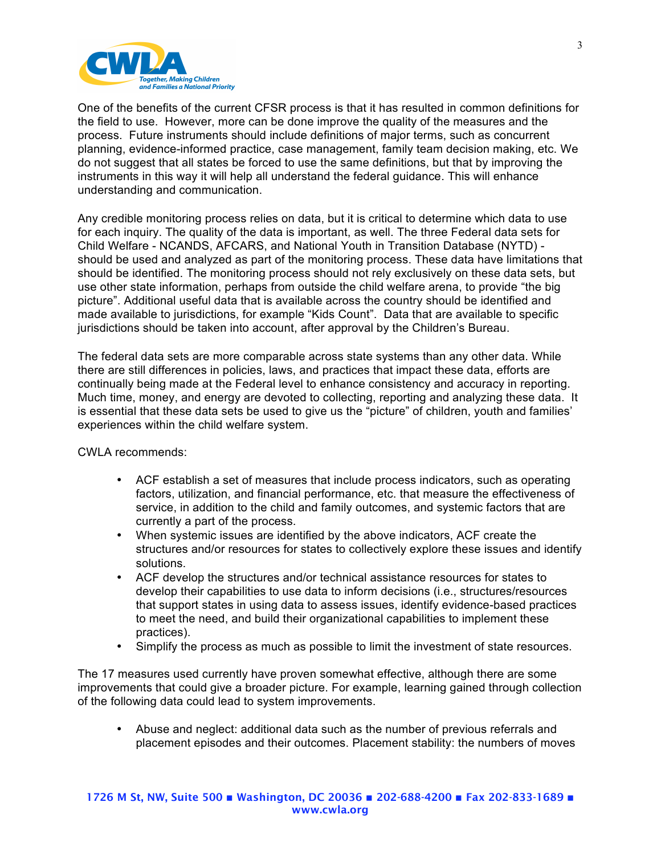

One of the benefits of the current CFSR process is that it has resulted in common definitions for the field to use. However, more can be done improve the quality of the measures and the process. Future instruments should include definitions of major terms, such as concurrent planning, evidence-informed practice, case management, family team decision making, etc. We do not suggest that all states be forced to use the same definitions, but that by improving the instruments in this way it will help all understand the federal guidance. This will enhance understanding and communication.

Any credible monitoring process relies on data, but it is critical to determine which data to use for each inquiry. The quality of the data is important, as well. The three Federal data sets for Child Welfare - NCANDS, AFCARS, and National Youth in Transition Database (NYTD) should be used and analyzed as part of the monitoring process. These data have limitations that should be identified. The monitoring process should not rely exclusively on these data sets, but use other state information, perhaps from outside the child welfare arena, to provide "the big picture". Additional useful data that is available across the country should be identified and made available to jurisdictions, for example "Kids Count". Data that are available to specific jurisdictions should be taken into account, after approval by the Children's Bureau.

The federal data sets are more comparable across state systems than any other data. While there are still differences in policies, laws, and practices that impact these data, efforts are continually being made at the Federal level to enhance consistency and accuracy in reporting. Much time, money, and energy are devoted to collecting, reporting and analyzing these data. It is essential that these data sets be used to give us the "picture" of children, youth and families' experiences within the child welfare system.

CWLA recommends:

- ACF establish a set of measures that include process indicators, such as operating factors, utilization, and financial performance, etc. that measure the effectiveness of service, in addition to the child and family outcomes, and systemic factors that are currently a part of the process.
- When systemic issues are identified by the above indicators, ACF create the structures and/or resources for states to collectively explore these issues and identify solutions.
- ACF develop the structures and/or technical assistance resources for states to develop their capabilities to use data to inform decisions (i.e., structures/resources that support states in using data to assess issues, identify evidence-based practices to meet the need, and build their organizational capabilities to implement these practices).
- Simplify the process as much as possible to limit the investment of state resources.

The 17 measures used currently have proven somewhat effective, although there are some improvements that could give a broader picture. For example, learning gained through collection of the following data could lead to system improvements.

• Abuse and neglect: additional data such as the number of previous referrals and placement episodes and their outcomes. Placement stability: the numbers of moves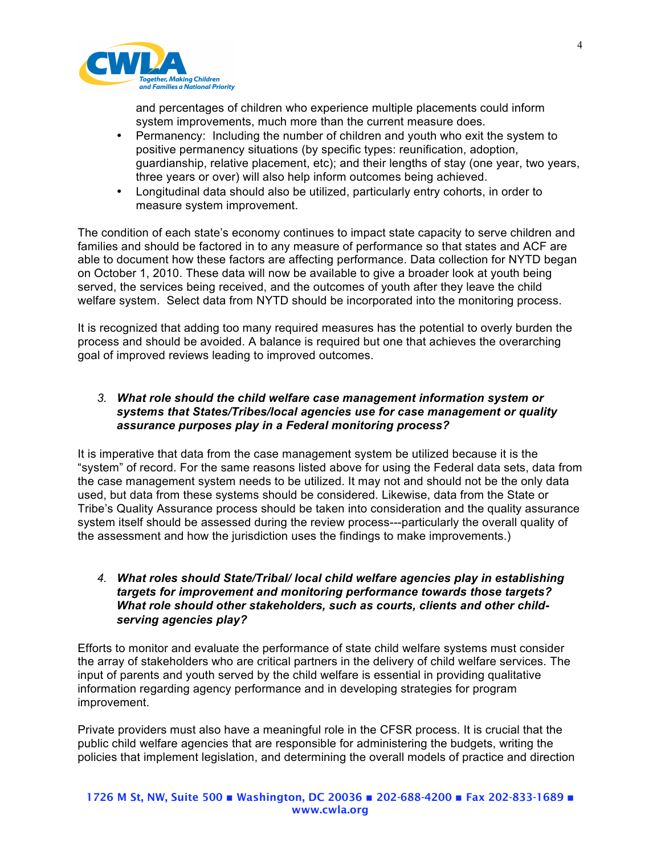

and percentages of children who experience multiple placements could inform system improvements, much more than the current measure does.

- Permanency: Including the number of children and youth who exit the system to positive permanency situations (by specific types: reunification, adoption, guardianship, relative placement, etc); and their lengths of stay (one year, two years, three years or over) will also help inform outcomes being achieved.
- Longitudinal data should also be utilized, particularly entry cohorts, in order to measure system improvement.

The condition of each state's economy continues to impact state capacity to serve children and families and should be factored in to any measure of performance so that states and ACF are able to document how these factors are affecting performance. Data collection for NYTD began on October 1, 2010. These data will now be available to give a broader look at youth being served, the services being received, and the outcomes of youth after they leave the child welfare system. Select data from NYTD should be incorporated into the monitoring process.

It is recognized that adding too many required measures has the potential to overly burden the process and should be avoided. A balance is required but one that achieves the overarching goal of improved reviews leading to improved outcomes.

### *3. What role should the child welfare case management information system or systems that States/Tribes/local agencies use for case management or quality assurance purposes play in a Federal monitoring process?*

It is imperative that data from the case management system be utilized because it is the "system" of record. For the same reasons listed above for using the Federal data sets, data from the case management system needs to be utilized. It may not and should not be the only data used, but data from these systems should be considered. Likewise, data from the State or Tribe's Quality Assurance process should be taken into consideration and the quality assurance system itself should be assessed during the review process---particularly the overall quality of the assessment and how the jurisdiction uses the findings to make improvements.)

### *4. What roles should State/Tribal/ local child welfare agencies play in establishing targets for improvement and monitoring performance towards those targets? What role should other stakeholders, such as courts, clients and other childserving agencies play?*

Efforts to monitor and evaluate the performance of state child welfare systems must consider the array of stakeholders who are critical partners in the delivery of child welfare services. The input of parents and youth served by the child welfare is essential in providing qualitative information regarding agency performance and in developing strategies for program improvement.

Private providers must also have a meaningful role in the CFSR process. It is crucial that the public child welfare agencies that are responsible for administering the budgets, writing the policies that implement legislation, and determining the overall models of practice and direction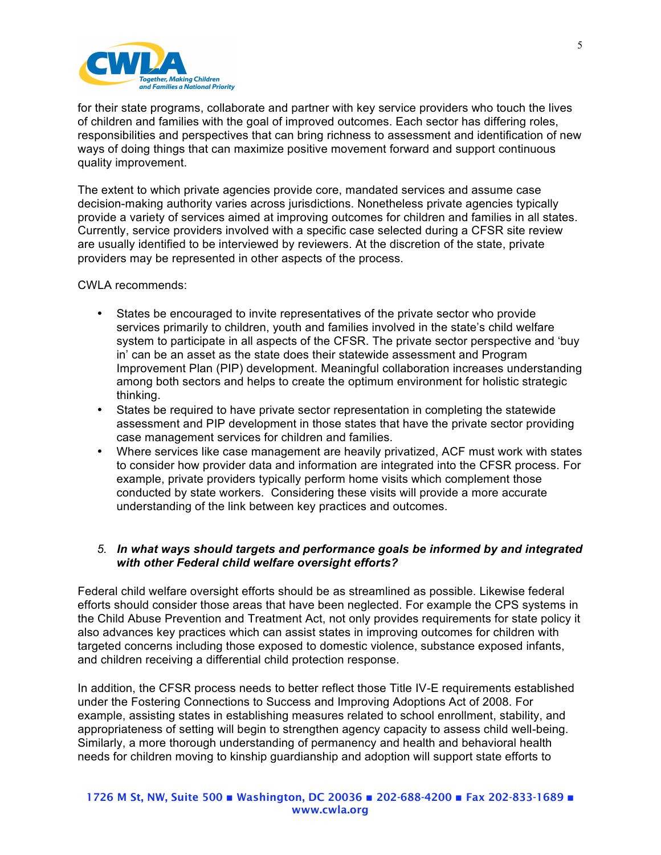

for their state programs, collaborate and partner with key service providers who touch the lives of children and families with the goal of improved outcomes. Each sector has differing roles, responsibilities and perspectives that can bring richness to assessment and identification of new ways of doing things that can maximize positive movement forward and support continuous quality improvement.

The extent to which private agencies provide core, mandated services and assume case decision-making authority varies across jurisdictions. Nonetheless private agencies typically provide a variety of services aimed at improving outcomes for children and families in all states. Currently, service providers involved with a specific case selected during a CFSR site review are usually identified to be interviewed by reviewers. At the discretion of the state, private providers may be represented in other aspects of the process.

CWLA recommends:

- States be encouraged to invite representatives of the private sector who provide services primarily to children, youth and families involved in the state's child welfare system to participate in all aspects of the CFSR. The private sector perspective and 'buy in' can be an asset as the state does their statewide assessment and Program Improvement Plan (PIP) development. Meaningful collaboration increases understanding among both sectors and helps to create the optimum environment for holistic strategic thinking.
- States be required to have private sector representation in completing the statewide assessment and PIP development in those states that have the private sector providing case management services for children and families.
- Where services like case management are heavily privatized, ACF must work with states to consider how provider data and information are integrated into the CFSR process. For example, private providers typically perform home visits which complement those conducted by state workers. Considering these visits will provide a more accurate understanding of the link between key practices and outcomes.

### *5. In what ways should targets and performance goals be informed by and integrated with other Federal child welfare oversight efforts?*

Federal child welfare oversight efforts should be as streamlined as possible. Likewise federal efforts should consider those areas that have been neglected. For example the CPS systems in the Child Abuse Prevention and Treatment Act, not only provides requirements for state policy it also advances key practices which can assist states in improving outcomes for children with targeted concerns including those exposed to domestic violence, substance exposed infants, and children receiving a differential child protection response.

In addition, the CFSR process needs to better reflect those Title IV-E requirements established under the Fostering Connections to Success and Improving Adoptions Act of 2008. For example, assisting states in establishing measures related to school enrollment, stability, and appropriateness of setting will begin to strengthen agency capacity to assess child well-being. Similarly, a more thorough understanding of permanency and health and behavioral health needs for children moving to kinship guardianship and adoption will support state efforts to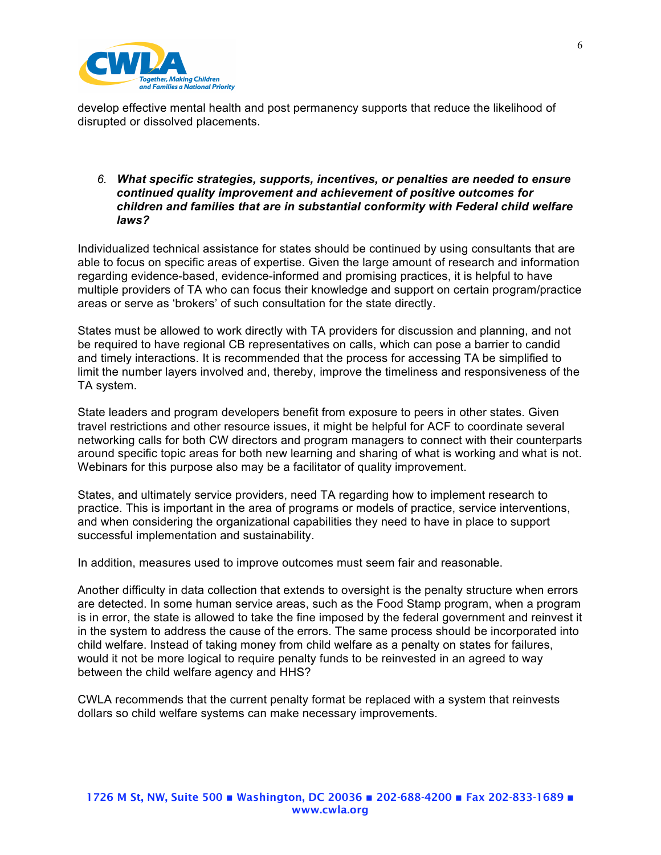

develop effective mental health and post permanency supports that reduce the likelihood of disrupted or dissolved placements.

#### *6. What specific strategies, supports, incentives, or penalties are needed to ensure continued quality improvement and achievement of positive outcomes for children and families that are in substantial conformity with Federal child welfare laws?*

Individualized technical assistance for states should be continued by using consultants that are able to focus on specific areas of expertise. Given the large amount of research and information regarding evidence-based, evidence-informed and promising practices, it is helpful to have multiple providers of TA who can focus their knowledge and support on certain program/practice areas or serve as 'brokers' of such consultation for the state directly.

States must be allowed to work directly with TA providers for discussion and planning, and not be required to have regional CB representatives on calls, which can pose a barrier to candid and timely interactions. It is recommended that the process for accessing TA be simplified to limit the number layers involved and, thereby, improve the timeliness and responsiveness of the TA system.

State leaders and program developers benefit from exposure to peers in other states. Given travel restrictions and other resource issues, it might be helpful for ACF to coordinate several networking calls for both CW directors and program managers to connect with their counterparts around specific topic areas for both new learning and sharing of what is working and what is not. Webinars for this purpose also may be a facilitator of quality improvement.

States, and ultimately service providers, need TA regarding how to implement research to practice. This is important in the area of programs or models of practice, service interventions, and when considering the organizational capabilities they need to have in place to support successful implementation and sustainability.

In addition, measures used to improve outcomes must seem fair and reasonable.

Another difficulty in data collection that extends to oversight is the penalty structure when errors are detected. In some human service areas, such as the Food Stamp program, when a program is in error, the state is allowed to take the fine imposed by the federal government and reinvest it in the system to address the cause of the errors. The same process should be incorporated into child welfare. Instead of taking money from child welfare as a penalty on states for failures, would it not be more logical to require penalty funds to be reinvested in an agreed to way between the child welfare agency and HHS?

CWLA recommends that the current penalty format be replaced with a system that reinvests dollars so child welfare systems can make necessary improvements.